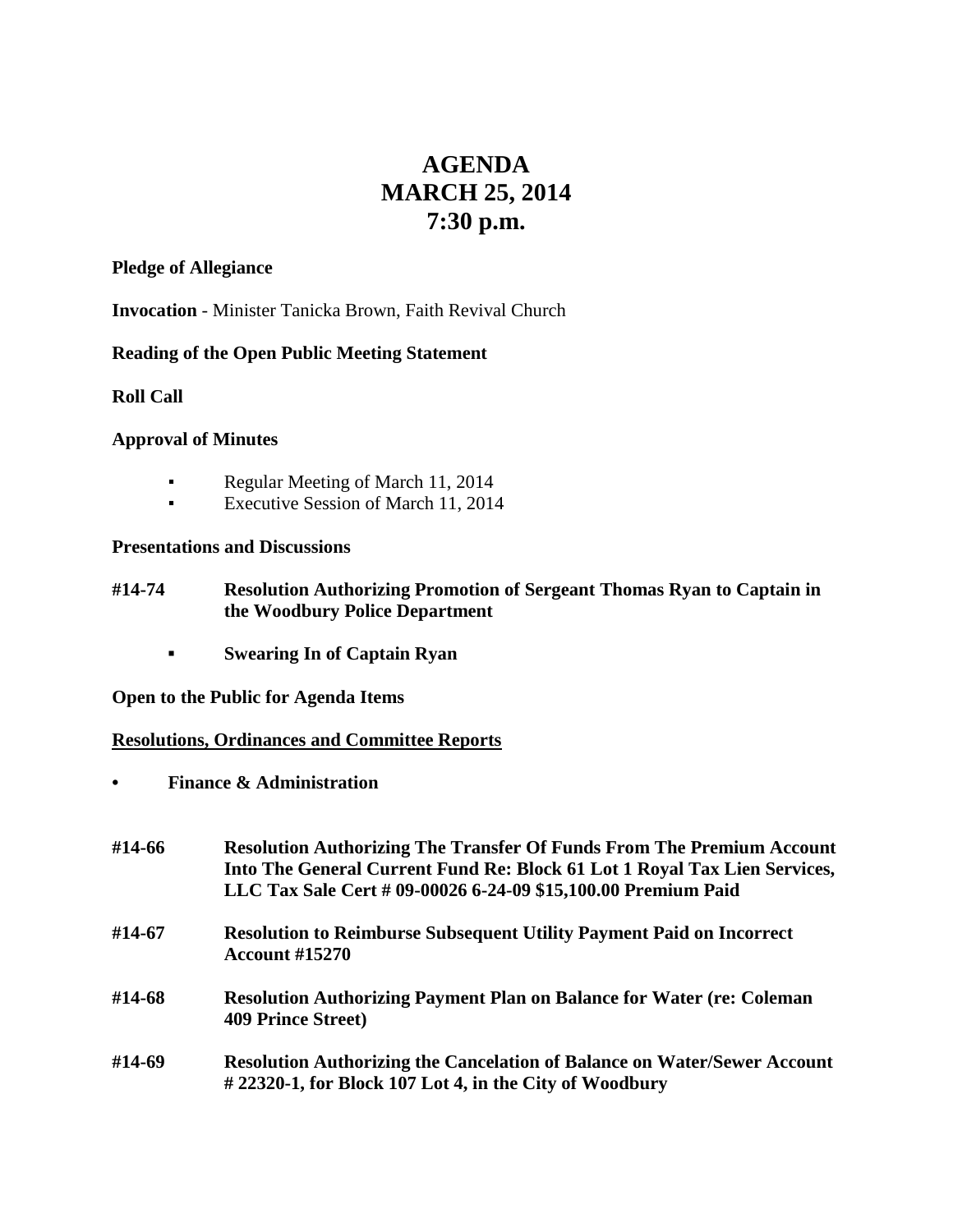# **AGENDA MARCH 25, 2014 7:30 p.m.**

#### **Pledge of Allegiance**

**Invocation** - Minister Tanicka Brown, Faith Revival Church

# **Reading of the Open Public Meeting Statement**

**Roll Call**

#### **Approval of Minutes**

- **•** Regular Meeting of March 11, 2014
- **Executive Session of March 11, 2014**

#### **Presentations and Discussions**

- **#14-74 Resolution Authorizing Promotion of Sergeant Thomas Ryan to Captain in the Woodbury Police Department**
	- **▪ Swearing In of Captain Ryan**

**Open to the Public for Agenda Items**

**Resolutions, Ordinances and Committee Reports**

**• Finance & Administration**

| #14-66 | <b>Resolution Authorizing The Transfer Of Funds From The Premium Account</b><br>Into The General Current Fund Re: Block 61 Lot 1 Royal Tax Lien Services,<br>LLC Tax Sale Cert # 09-00026 6-24-09 \$15,100.00 Premium Paid |
|--------|----------------------------------------------------------------------------------------------------------------------------------------------------------------------------------------------------------------------------|
| #14-67 | <b>Resolution to Reimburse Subsequent Utility Payment Paid on Incorrect</b><br><b>Account #15270</b>                                                                                                                       |
| #14-68 | <b>Resolution Authorizing Payment Plan on Balance for Water (re: Coleman</b><br><b>409 Prince Street)</b>                                                                                                                  |
| #14-69 | <b>Resolution Authorizing the Cancelation of Balance on Water/Sewer Account</b><br>$\#$ 22320-1, for Block 107 Lot 4, in the City of Woodbury                                                                              |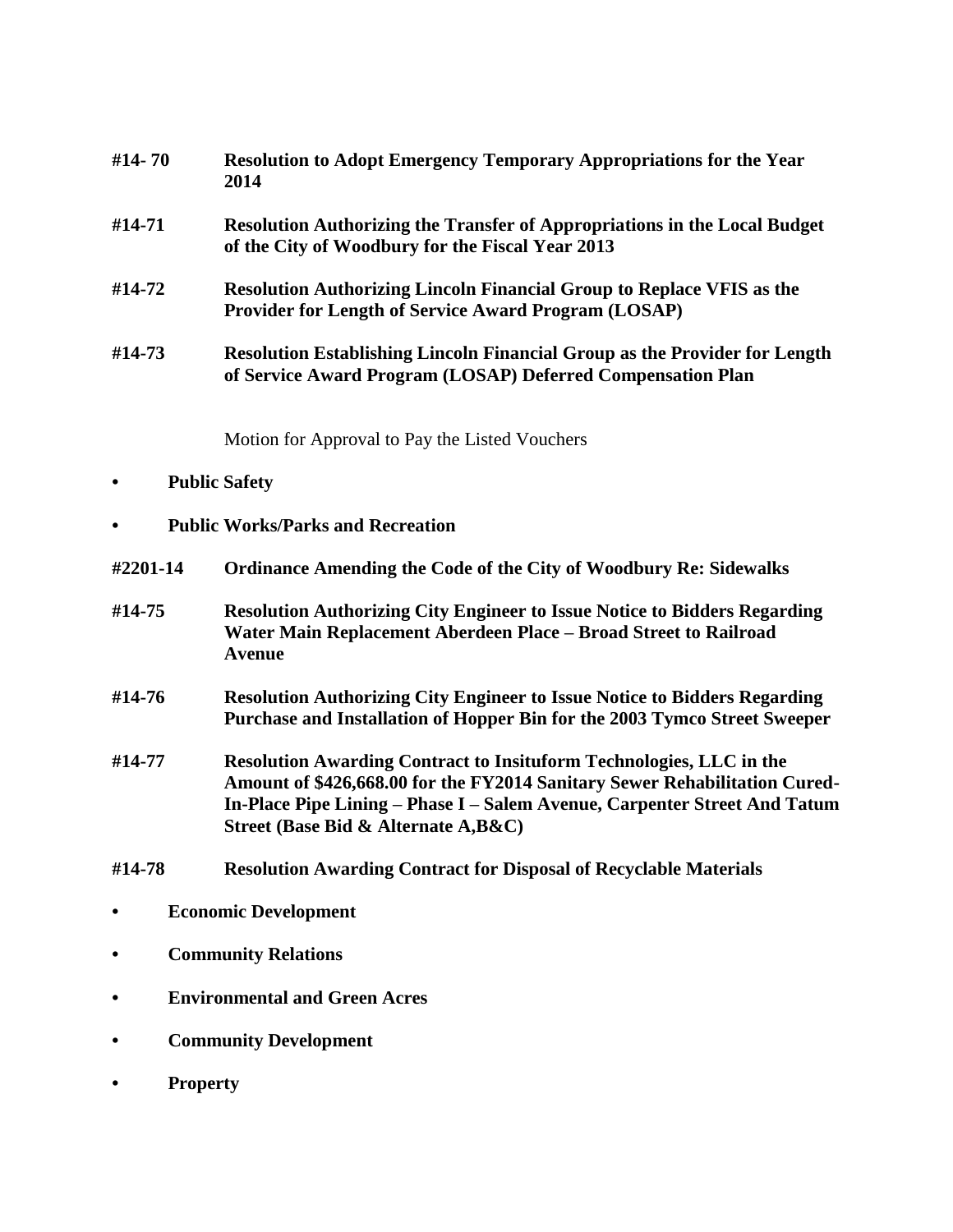| #14-70 | <b>Resolution to Adopt Emergency Temporary Appropriations for the Year</b><br>2014                                                               |
|--------|--------------------------------------------------------------------------------------------------------------------------------------------------|
| #14-71 | <b>Resolution Authorizing the Transfer of Appropriations in the Local Budget</b><br>of the City of Woodbury for the Fiscal Year 2013             |
| #14-72 | <b>Resolution Authorizing Lincoln Financial Group to Replace VFIS as the</b><br><b>Provider for Length of Service Award Program (LOSAP)</b>      |
| #14-73 | <b>Resolution Establishing Lincoln Financial Group as the Provider for Length</b><br>of Service Award Program (LOSAP) Deferred Compensation Plan |

Motion for Approval to Pay the Listed Vouchers

- **• Public Safety**
- **• Public Works/Parks and Recreation**
- **#2201-14 Ordinance Amending the Code of the City of Woodbury Re: Sidewalks**
- **#14-75 Resolution Authorizing City Engineer to Issue Notice to Bidders Regarding Water Main Replacement Aberdeen Place – Broad Street to Railroad Avenue**
- **#14-76 Resolution Authorizing City Engineer to Issue Notice to Bidders Regarding Purchase and Installation of Hopper Bin for the 2003 Tymco Street Sweeper**
- **#14-77 Resolution Awarding Contract to Insituform Technologies, LLC in the Amount of \$426,668.00 for the FY2014 Sanitary Sewer Rehabilitation Cured-In-Place Pipe Lining – Phase I – Salem Avenue, Carpenter Street And Tatum Street (Base Bid & Alternate A,B&C)**
- **#14-78 Resolution Awarding Contract for Disposal of Recyclable Materials**
- **• Economic Development**
- **• Community Relations**
- **• Environmental and Green Acres**
- **• Community Development**
- **• Property**